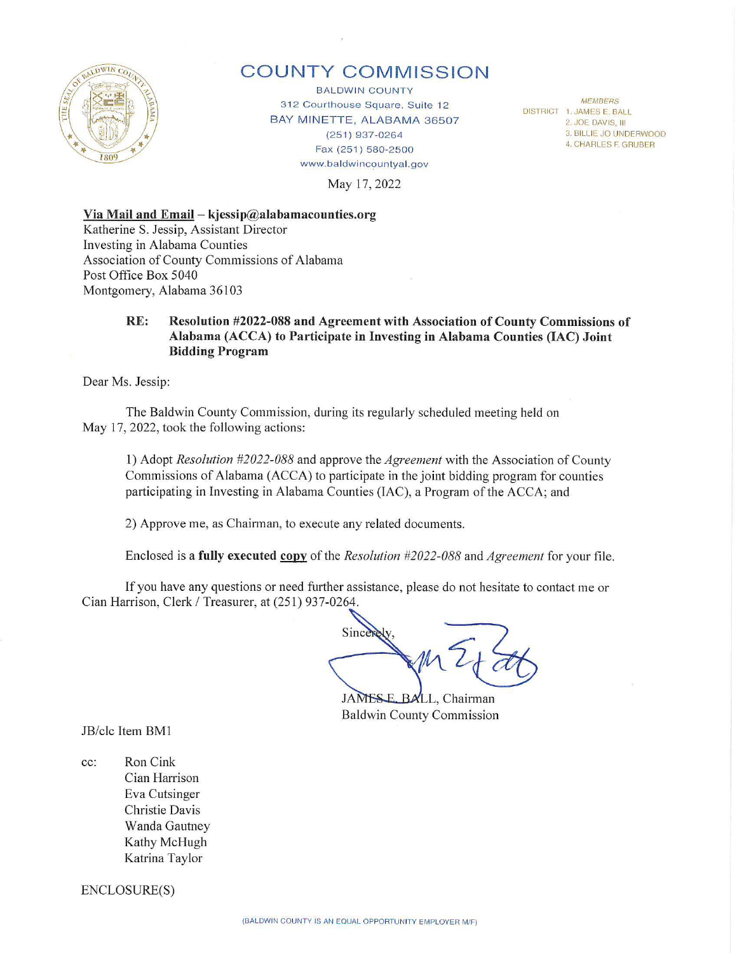

# **COUNTY COMMISSION**

BALDWIN COUNTY 312 Courthouse Square, Suite 12 BAY MINETTE, ALABAMA 36507 (251) 937-0264 Fax (251) 580-2500 www.baldwincountyal.gov

*MEMBERS*  DISTRICT 1. JAMES E. BALL

2. JOE DAVIS, III

3. BILLIE JO UNDERWOOD

4. CHARLES F. GRUBER

May 17, 2022

#### **Via Mail and Email - kjessip@alabamacounties.org**

Katherine S. Jessip, Assistant Director Investing in Alabama Counties Association of County Commissions of Alabama Post Office Box 5040 Montgomery, Alabama 36103

#### **RE: Resolution #2022-088 and Agreement with Association of County Commissions of Alabama (ACCA) to Participate in Investing in Alabama Counties (IAC) Joint Bidding Program**

Dear Ms. Jessip:

The Baldwin County Commission, during its regularly scheduled meeting held on May 17, 2022, took the following actions:

I) Adopt *Resolution #2022-088* and approve the *Agreement* with the Association of County Commissions of Alabama (ACCA) to participate in the joint bidding program for counties participating in Investing in Alabama Counties (IAC), a Program of the ACCA; and

2) Approve me, as Chairman, to execute any related documents.

Enclosed is a **fully executed copy** of the *Resolution #2022-088* and *Agreement* for your file.

If you have any questions or need further assistance, please do not hesitate to contact me or Cian Harrison, Clerk / Treasurer, at (25 1) 937-0264.

Since

 $JAMES E_BALL$ , Chairman Baldwin County Commission

JB/clc Item BM!

cc: Ron Cink Cian Harrison Eva Cutsinger Christie Davis Wanda Gautney Kathy McHugh Katrina Taylor

ENCLOSURE(S)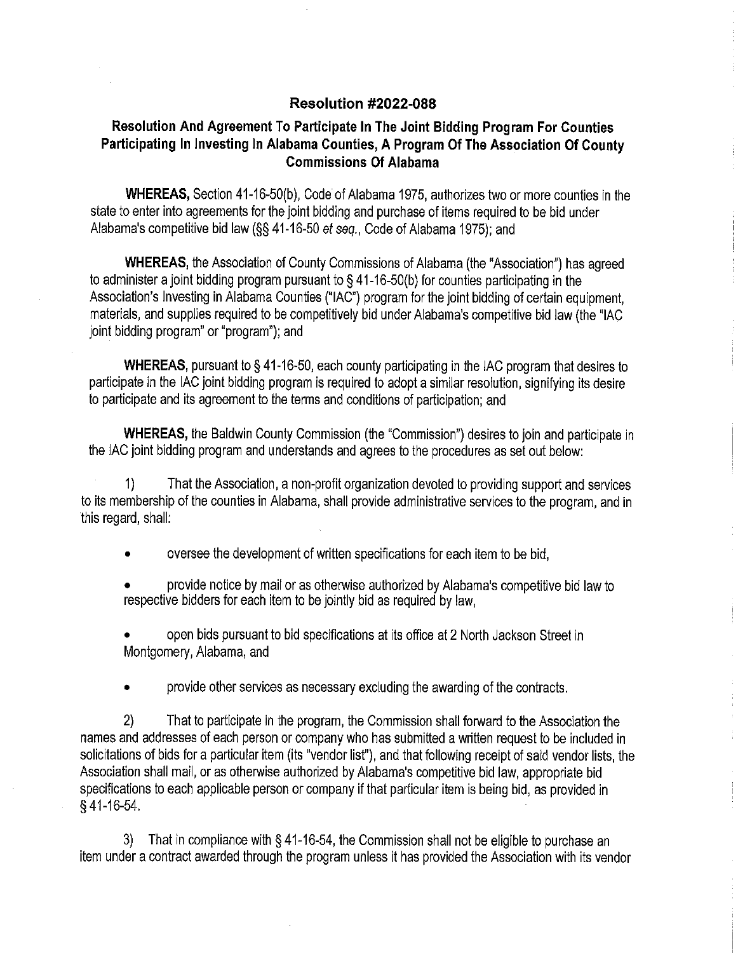### **Resolution #2022-088**

## **Resolution And Agreement To Participate In The Joint Bidding Program For Counties Participating In Investing In Alabama Counties, A Program Of The Association Of County Commissions Of Alabama**

**WHEREAS,** Section 41-16-50(b), Code of Alabama 1975, authorizes two or more counties in the state to enter into agreements for the joint bidding and purchase of items required to be bid under Alabama's competitive bid law(§§ 41-16-50 et seq., Code of Alabama 1975); and

**WHEREAS,** the Association of County Commissions of Alabama (the "Association") has agreed to administer a joint bidding program pursuant to§ 41-16-50(b) for counties participating in the Association's Investing in Alabama Counties ("IAC") program for the joint bidding of certain equipment, materials, and supplies required to be competitively bid under Alabama's competitive bid law (the "IAC joint bidding program" or "program"); and

**WHEREAS,** pursuant to§ 41-16-50, each county participating in the IAC program that desires to participate in the IAC joint bidding program is required to adopt a similar resolution, signifying its desire to participate and its agreement to the terms and conditions of participation; and

**WHEREAS,** the Baldwin County Commission (the "Commission") desires to join and participate in the IAC joint bidding program and understands and agrees to the procedures as set out below:

1) Thal the Association, a non-profit organization devoted to providing support and services to its membership of the counties in Alabama, shall provide administrative services to the program, and in this regard, shall:

• oversee the development of written specifications for each item to be bid,

• provide notice by mail or as otherwise authorized by Alabama's competitive bid law to respective bidders for each item to be jointly bid as required by law,

open bids pursuant to bid specifications at its office at 2 North Jackson Street in Montgomery, Alabama, and

• provide other services as necessary excluding the awarding of the contracts.

2) That to participate in the program, the Commission shall forward to the Association the names and addresses of each person or company who has submitted a written request to be included in solicitations of bids for a particular item (its "vendor list"), and that following receipt of said vendor lists, the Association shall mail, or as otherwise authorized by Alabama's competitive bid law, appropriate bid specifications to each applicable person or company if that particular item is being bid, as provided in § 41-16-54.

3) That in compliance with § 41-16-54, the Commission shall not be eligible to purchase an item under a contract awarded through the program unless ii has provided the Association with its vendor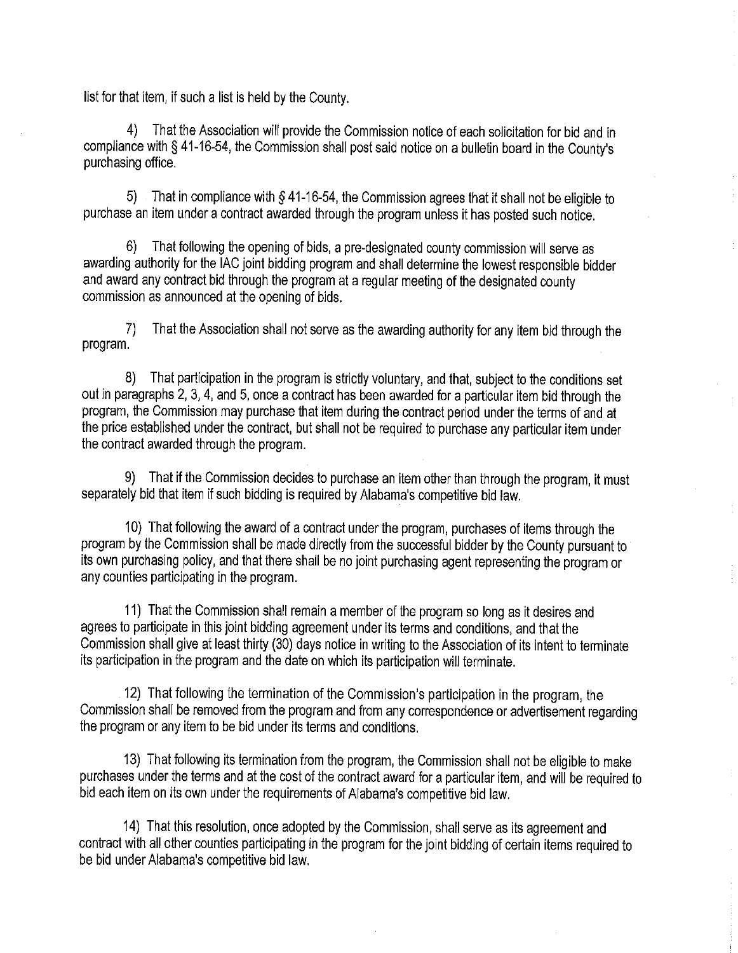list for that item, if such a list is held by the County.

4) That the Association will provide the Commission notice of each solicitation for bid and in compliance with§ 41-16-54, the Commission shall post said notice on a bulletin board in the County's purchasing office.

5) That in compliance with § 41-16-54, the Commission agrees that it shall not be eligible to purchase an item under a contract awarded through the program unless it has posted such notice.

6) That following the opening of bids, a pre-designated county commission will serve as awarding authority for the IAC joint bidding program and shall determine the lowest responsible bidder and award any contract bid through the program at a regular meeting of the designated county commission as announced at the opening of bids.

7) That the Association shall not serve as the awarding authority for any item bid through the program.

8) That participation in the program is strictly voluntary, and that, subject to the conditions set out in paragraphs 2, 3, 4, and 5, once a contract has been awarded for a particular item bid through the program, the Commission may purchase that item during the contract period under the terms of and at the price established under the contract, but shall not be required to purchase any particular item under the contract awarded through the program.

9) That if the Commission decides to purchase an item other than through the program, it must separately bid that item if such bidding is required by Alabama's competitive bid law.

10) That following the award of a contract under the program, purchases of items through the program by the Commission shall be made directly from the successful bidder by the County pursuant to its own purchasing policy, and that there shall be no joint purchasing agent representing the program or any counties participating in the program.

11) That the Commission shall remain a member of the program so long as it desires and agrees to participate in this joint bidding agreement under its terms and conditions, and that the Commission shall give at least thirty (30) days notice in writing to the Association of its intent to terminate its participation in the program and the date on which its participation will terminate.

12) That following the termination of the Commission's participation in the program, the Commission shall be removed from the program and from any correspondence or advertisement regarding the program or any item to be bid under its terms and conditions.

13) That following its termination from the program, the Commission shall not be eligible to make purchases under the terms and at the cost of the contract award for a particular item, and will be required to bid each item on its own under the requirements of Alabama's competitive bid law.

14) That this resolution, once adopted by the Commission, shall serve as its agreement and contract with all other counties participating in the program for the joint bidding of certain items required to be bid under Alabama's competitive bid law.